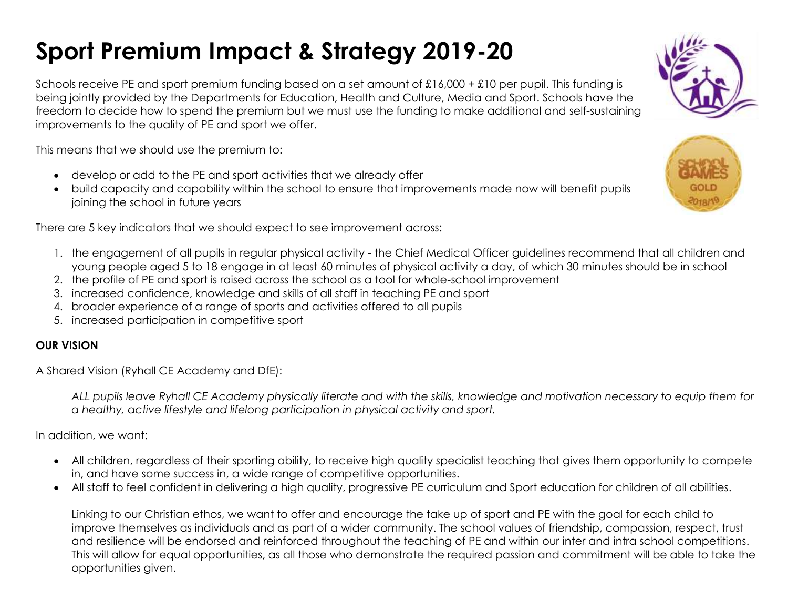## **Sport Premium Impact & Strategy 2019-20**

Schools receive PE and sport premium funding based on a set amount of £16,000 + £10 per pupil. This funding is being jointly provided by the Departments for Education, Health and Culture, Media and Sport. Schools have the freedom to decide how to spend the premium but we must use the funding to make additional and self-sustaining improvements to the quality of PE and sport we offer.

This means that we should use the premium to:

- develop or add to the PE and sport activities that we already offer
- build capacity and capability within the school to ensure that improvements made now will benefit pupils joining the school in future years

There are 5 key indicators that we should expect to see improvement across:

- 1. the engagement of all pupils in regular physical activity the Chief Medical Officer guidelines recommend that all children and young people aged 5 to 18 engage in at least 60 minutes of physical activity a day, of which 30 minutes should be in school
- 2. the profile of PE and sport is raised across the school as a tool for whole-school improvement
- 3. increased confidence, knowledge and skills of all staff in teaching PE and sport
- 4. broader experience of a range of sports and activities offered to all pupils
- 5. increased participation in competitive sport

## **OUR VISION**

A Shared Vision (Ryhall CE Academy and DfE):

*ALL pupils leave Ryhall CE Academy physically literate and with the skills, knowledge and motivation necessary to equip them for a healthy, active lifestyle and lifelong participation in physical activity and sport.*

In addition, we want:

- All children, regardless of their sporting ability, to receive high quality specialist teaching that gives them opportunity to compete in, and have some success in, a wide range of competitive opportunities.
- All staff to feel confident in delivering a high quality, progressive PE curriculum and Sport education for children of all abilities.

Linking to our Christian ethos, we want to offer and encourage the take up of sport and PE with the goal for each child to improve themselves as individuals and as part of a wider community. The school values of friendship, compassion, respect, trust and resilience will be endorsed and reinforced throughout the teaching of PE and within our inter and intra school competitions. This will allow for equal opportunities, as all those who demonstrate the required passion and commitment will be able to take the opportunities given.



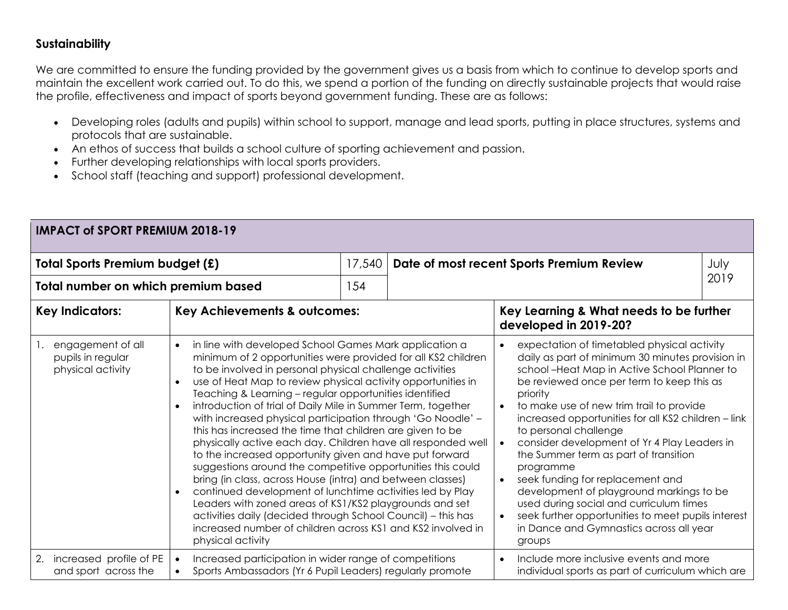## **Sustainability**

We are committed to ensure the funding provided by the government gives us a basis from which to continue to develop sports and maintain the excellent work carried out. To do this, we spend a portion of the funding on directly sustainable projects that would raise the profile, effectiveness and impact of sports beyond government funding. These are as follows:

- Developing roles (adults and pupils) within school to support, manage and lead sports, putting in place structures, systems and protocols that are sustainable.
- An ethos of success that builds a school culture of sporting achievement and passion.
- Further developing relationships with local sports providers.
- School staff (teaching and support) professional development.

| <b>IMPACT of SPORT PREMIUM 2018-19</b>                      |                                                                                                                                                                                                                                                                                                                                                                                                                                                                                                                                                                                                                                                                                                                                                                                                                                                                                                                                                                                                                                                                                      |        |                                                                                                                                                                                                                                                                                                                                                                                                                                                                                                                                                                                                                                                                                    |                                                                                                          |      |  |
|-------------------------------------------------------------|--------------------------------------------------------------------------------------------------------------------------------------------------------------------------------------------------------------------------------------------------------------------------------------------------------------------------------------------------------------------------------------------------------------------------------------------------------------------------------------------------------------------------------------------------------------------------------------------------------------------------------------------------------------------------------------------------------------------------------------------------------------------------------------------------------------------------------------------------------------------------------------------------------------------------------------------------------------------------------------------------------------------------------------------------------------------------------------|--------|------------------------------------------------------------------------------------------------------------------------------------------------------------------------------------------------------------------------------------------------------------------------------------------------------------------------------------------------------------------------------------------------------------------------------------------------------------------------------------------------------------------------------------------------------------------------------------------------------------------------------------------------------------------------------------|----------------------------------------------------------------------------------------------------------|------|--|
| Total Sports Premium budget (£)                             |                                                                                                                                                                                                                                                                                                                                                                                                                                                                                                                                                                                                                                                                                                                                                                                                                                                                                                                                                                                                                                                                                      | 17,540 | Date of most recent Sports Premium Review                                                                                                                                                                                                                                                                                                                                                                                                                                                                                                                                                                                                                                          |                                                                                                          | July |  |
| Total number on which premium based                         |                                                                                                                                                                                                                                                                                                                                                                                                                                                                                                                                                                                                                                                                                                                                                                                                                                                                                                                                                                                                                                                                                      | 154    |                                                                                                                                                                                                                                                                                                                                                                                                                                                                                                                                                                                                                                                                                    | 2019                                                                                                     |      |  |
| <b>Key Indicators:</b><br>Key Achievements & outcomes:      |                                                                                                                                                                                                                                                                                                                                                                                                                                                                                                                                                                                                                                                                                                                                                                                                                                                                                                                                                                                                                                                                                      |        |                                                                                                                                                                                                                                                                                                                                                                                                                                                                                                                                                                                                                                                                                    | Key Learning & What needs to be further<br>developed in 2019-20?                                         |      |  |
| engagement of all<br>pupils in regular<br>physical activity | in line with developed School Games Mark application a<br>$\bullet$<br>minimum of 2 opportunities were provided for all KS2 children<br>to be involved in personal physical challenge activities<br>use of Heat Map to review physical activity opportunities in<br>$\bullet$<br>Teaching & Learning - regular opportunities identified<br>introduction of trial of Daily Mile in Summer Term, together<br>with increased physical participation through 'Go Noodle' -<br>this has increased the time that children are given to be<br>physically active each day. Children have all responded well<br>to the increased opportunity given and have put forward<br>suggestions around the competitive opportunities this could<br>bring (in class, across House (intra) and between classes)<br>continued development of lunchtime activities led by Play<br>$\bullet$<br>Leaders with zoned areas of KS1/KS2 playgrounds and set<br>activities daily (decided through School Council) - this has<br>increased number of children across KS1 and KS2 involved in<br>physical activity |        | expectation of timetabled physical activity<br>daily as part of minimum 30 minutes provision in<br>school-Heat Map in Active School Planner to<br>be reviewed once per term to keep this as<br>priority<br>to make use of new trim trail to provide<br>increased opportunities for all KS2 children - link<br>to personal challenge<br>consider development of Yr 4 Play Leaders in<br>$\bullet$<br>the Summer term as part of transition<br>programme<br>seek funding for replacement and<br>development of playground markings to be<br>used during social and curriculum times<br>seek further opportunities to meet pupils interest<br>in Dance and Gymnastics across all year |                                                                                                          |      |  |
| increased profile of PE<br>2.<br>and sport across the       | Increased participation in wider range of competitions<br>Sports Ambassadors (Yr 6 Pupil Leaders) regularly promote                                                                                                                                                                                                                                                                                                                                                                                                                                                                                                                                                                                                                                                                                                                                                                                                                                                                                                                                                                  |        |                                                                                                                                                                                                                                                                                                                                                                                                                                                                                                                                                                                                                                                                                    | Include more inclusive events and more<br>$\bullet$<br>individual sports as part of curriculum which are |      |  |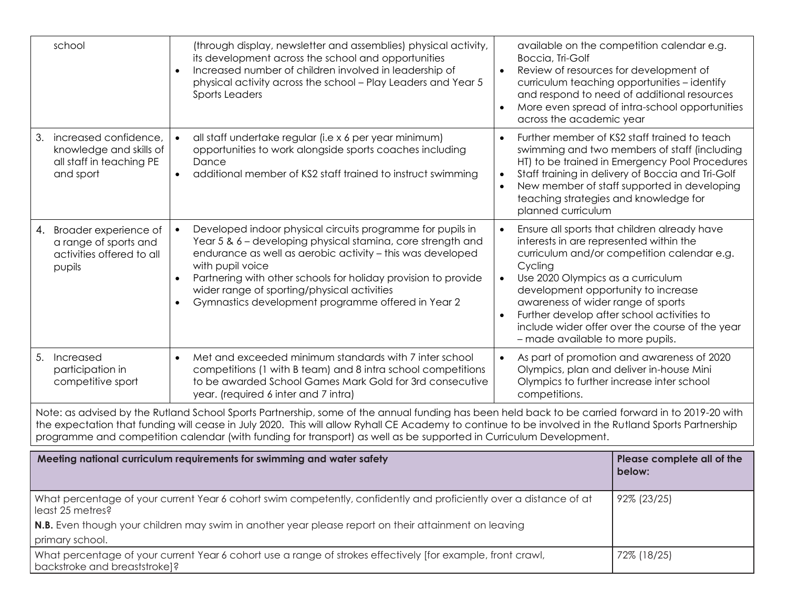| school                                                                                                                                                                                                                                                                                                                                                                                                                          | (through display, newsletter and assemblies) physical activity,<br>its development across the school and opportunities<br>Increased number of children involved in leadership of<br>physical activity across the school - Play Leaders and Year 5<br>Sports Leaders                                                                                                                | Boccia, Tri-Golf<br>across the academic year                                                                                                                                                                                                                                                                                                                                                             | available on the competition calendar e.g.<br>Review of resources for development of<br>curriculum teaching opportunities - identify<br>and respond to need of additional resources<br>More even spread of intra-school opportunities                                                                             |  |
|---------------------------------------------------------------------------------------------------------------------------------------------------------------------------------------------------------------------------------------------------------------------------------------------------------------------------------------------------------------------------------------------------------------------------------|------------------------------------------------------------------------------------------------------------------------------------------------------------------------------------------------------------------------------------------------------------------------------------------------------------------------------------------------------------------------------------|----------------------------------------------------------------------------------------------------------------------------------------------------------------------------------------------------------------------------------------------------------------------------------------------------------------------------------------------------------------------------------------------------------|-------------------------------------------------------------------------------------------------------------------------------------------------------------------------------------------------------------------------------------------------------------------------------------------------------------------|--|
| increased confidence,<br>3.<br>knowledge and skills of<br>all staff in teaching PE<br>and sport                                                                                                                                                                                                                                                                                                                                 | all staff undertake regular (i.e x 6 per year minimum)<br>opportunities to work alongside sports coaches including<br>Dance<br>additional member of KS2 staff trained to instruct swimming                                                                                                                                                                                         |                                                                                                                                                                                                                                                                                                                                                                                                          | Further member of KS2 staff trained to teach<br>swimming and two members of staff (including<br>HT) to be trained in Emergency Pool Procedures<br>Staff training in delivery of Boccia and Tri-Golf<br>New member of staff supported in developing<br>teaching strategies and knowledge for<br>planned curriculum |  |
| Broader experience of<br>4.<br>a range of sports and<br>activities offered to all<br>pupils                                                                                                                                                                                                                                                                                                                                     | Developed indoor physical circuits programme for pupils in<br>Year 5 & 6 - developing physical stamina, core strength and<br>endurance as well as aerobic activity - this was developed<br>with pupil voice<br>Partnering with other schools for holiday provision to provide<br>wider range of sporting/physical activities<br>Gymnastics development programme offered in Year 2 | Ensure all sports that children already have<br>interests in are represented within the<br>curriculum and/or competition calendar e.g.<br>Cycling<br>Use 2020 Olympics as a curriculum<br>development opportunity to increase<br>awareness of wider range of sports<br>Further develop after school activities to<br>include wider offer over the course of the year<br>- made available to more pupils. |                                                                                                                                                                                                                                                                                                                   |  |
| Met and exceeded minimum standards with 7 inter school<br>5. Increased<br>participation in<br>competitions (1 with B team) and 8 intra school competitions<br>to be awarded School Games Mark Gold for 3rd consecutive<br>competitive sport<br>year. (required 6 inter and 7 intra)<br>competitions.                                                                                                                            |                                                                                                                                                                                                                                                                                                                                                                                    |                                                                                                                                                                                                                                                                                                                                                                                                          | As part of promotion and awareness of 2020<br>Olympics, plan and deliver in-house Mini<br>Olympics to further increase inter school                                                                                                                                                                               |  |
| Note: as advised by the Rutland School Sports Partnership, some of the annual funding has been held back to be carried forward in to 2019-20 with<br>the expectation that funding will cease in July 2020. This will allow Ryhall CE Academy to continue to be involved in the Rutland Sports Partnership<br>programme and competition calendar (with funding for transport) as well as be supported in Curriculum Development. |                                                                                                                                                                                                                                                                                                                                                                                    |                                                                                                                                                                                                                                                                                                                                                                                                          |                                                                                                                                                                                                                                                                                                                   |  |
| Meeting national curriculum requirements for swimming and water safety                                                                                                                                                                                                                                                                                                                                                          | Please complete all of the<br>below:                                                                                                                                                                                                                                                                                                                                               |                                                                                                                                                                                                                                                                                                                                                                                                          |                                                                                                                                                                                                                                                                                                                   |  |
| What percentage of your current Year 6 cohort swim competently, confidently and proficiently over a distance of at<br>least 25 metres?                                                                                                                                                                                                                                                                                          | 92% (23/25)                                                                                                                                                                                                                                                                                                                                                                        |                                                                                                                                                                                                                                                                                                                                                                                                          |                                                                                                                                                                                                                                                                                                                   |  |
| N.B. Even though your children may swim in another year please report on their attainment on leaving<br>primary school.                                                                                                                                                                                                                                                                                                         |                                                                                                                                                                                                                                                                                                                                                                                    |                                                                                                                                                                                                                                                                                                                                                                                                          |                                                                                                                                                                                                                                                                                                                   |  |
| What percentage of your current Year 6 cohort use a range of strokes effectively [for example, front crawl,<br>72% (18/25)<br>backstroke and breaststroke]?                                                                                                                                                                                                                                                                     |                                                                                                                                                                                                                                                                                                                                                                                    |                                                                                                                                                                                                                                                                                                                                                                                                          |                                                                                                                                                                                                                                                                                                                   |  |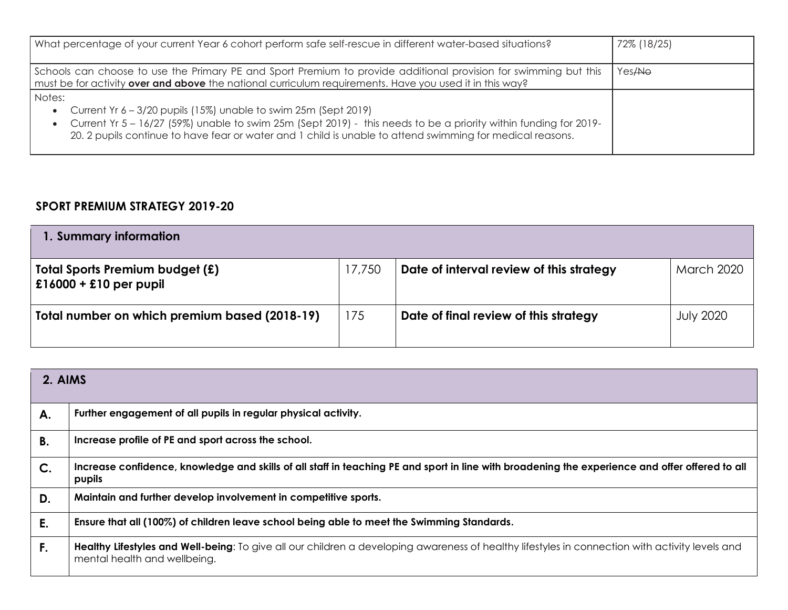| What percentage of your current Year 6 cohort perform safe self-rescue in different water-based situations?                                                                                                                                                                                                    | 72% (18/25)        |
|----------------------------------------------------------------------------------------------------------------------------------------------------------------------------------------------------------------------------------------------------------------------------------------------------------------|--------------------|
| Schools can choose to use the Primary PE and Sport Premium to provide additional provision for swimming but this<br>must be for activity over and above the national curriculum requirements. Have you used it in this way?                                                                                    | Yes <del>/No</del> |
| Notes:<br>• Current Yr 6 - 3/20 pupils (15%) unable to swim 25m (Sept 2019)<br>• Current Yr 5 – 16/27 (59%) unable to swim 25m (Sept 2019) - this needs to be a priority within funding for 2019-<br>20. 2 pupils continue to have fear or water and 1 child is unable to attend swimming for medical reasons. |                    |

## **SPORT PREMIUM STRATEGY 2019-20**

| 1. Summary information                                             |        |                                          |                   |  |
|--------------------------------------------------------------------|--------|------------------------------------------|-------------------|--|
| <b>Total Sports Premium budget (£)</b><br>$£16000 + £10$ per pupil | 17,750 | Date of interval review of this strategy | <b>March 2020</b> |  |
| Total number on which premium based (2018-19)                      | 175    | Date of final review of this strategy    | <b>July 2020</b>  |  |

| 2. AIMS |                                                                                                                                                                                 |  |  |
|---------|---------------------------------------------------------------------------------------------------------------------------------------------------------------------------------|--|--|
| А.      | Further engagement of all pupils in regular physical activity.                                                                                                                  |  |  |
| В.      | Increase profile of PE and sport across the school.                                                                                                                             |  |  |
| $C$ .   | Increase confidence, knowledge and skills of all staff in teaching PE and sport in line with broadening the experience and offer offered to all<br>pupils                       |  |  |
| D.      | Maintain and further develop involvement in competitive sports.                                                                                                                 |  |  |
| E.      | Ensure that all (100%) of children leave school being able to meet the Swimming Standards.                                                                                      |  |  |
| F.      | Healthy Lifestyles and Well-being: To give all our children a developing awareness of healthy lifestyles in connection with activity levels and<br>mental health and wellbeing. |  |  |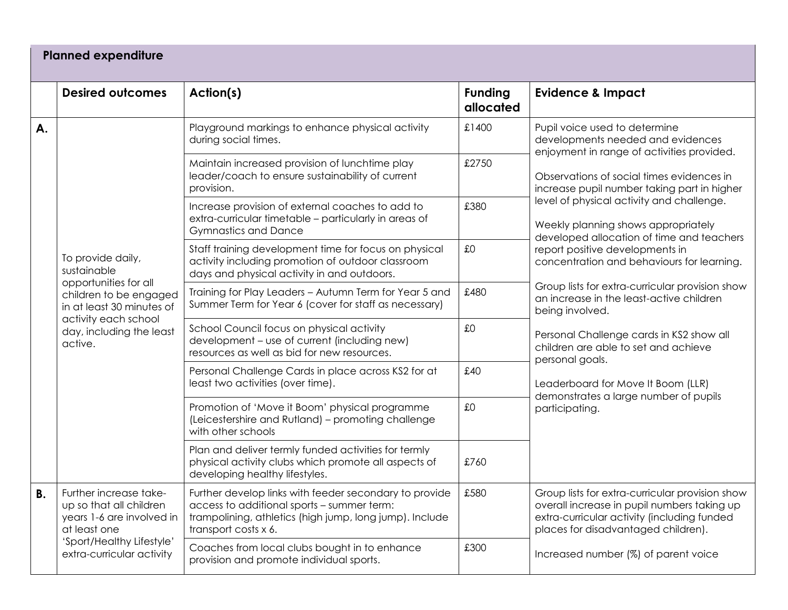|    | <b>Planned expenditure</b>                                                                                                                               |                                                                                                                                                                                         |                             |                                                                                                                                                                                                                                                                                                                                                                                                                                                                                                                        |  |  |
|----|----------------------------------------------------------------------------------------------------------------------------------------------------------|-----------------------------------------------------------------------------------------------------------------------------------------------------------------------------------------|-----------------------------|------------------------------------------------------------------------------------------------------------------------------------------------------------------------------------------------------------------------------------------------------------------------------------------------------------------------------------------------------------------------------------------------------------------------------------------------------------------------------------------------------------------------|--|--|
|    | <b>Desired outcomes</b>                                                                                                                                  | Action(s)                                                                                                                                                                               | <b>Funding</b><br>allocated | <b>Evidence &amp; Impact</b>                                                                                                                                                                                                                                                                                                                                                                                                                                                                                           |  |  |
| А. |                                                                                                                                                          | Playground markings to enhance physical activity<br>during social times.                                                                                                                | £1400                       | Pupil voice used to determine<br>developments needed and evidences<br>enjoyment in range of activities provided.                                                                                                                                                                                                                                                                                                                                                                                                       |  |  |
|    |                                                                                                                                                          | Maintain increased provision of lunchtime play<br>leader/coach to ensure sustainability of current<br>provision.                                                                        | £2750                       | Observations of social times evidences in<br>increase pupil number taking part in higher                                                                                                                                                                                                                                                                                                                                                                                                                               |  |  |
|    |                                                                                                                                                          | Increase provision of external coaches to add to<br>extra-curricular timetable - particularly in areas of<br><b>Gymnastics and Dance</b>                                                | £380                        | level of physical activity and challenge.<br>Weekly planning shows appropriately<br>developed allocation of time and teachers<br>report positive developments in<br>concentration and behaviours for learning.<br>Group lists for extra-curricular provision show<br>an increase in the least-active children<br>being involved.<br>Personal Challenge cards in KS2 show all<br>children are able to set and achieve<br>personal goals.<br>Leaderboard for Move It Boom (LLR)<br>demonstrates a large number of pupils |  |  |
|    | To provide daily,<br>sustainable<br>opportunities for all                                                                                                | Staff training development time for focus on physical<br>activity including promotion of outdoor classroom<br>days and physical activity in and outdoors.                               | £0                          |                                                                                                                                                                                                                                                                                                                                                                                                                                                                                                                        |  |  |
|    | children to be engaged<br>in at least 30 minutes of                                                                                                      | Training for Play Leaders - Autumn Term for Year 5 and<br>Summer Term for Year 6 (cover for staff as necessary)                                                                         | £480                        |                                                                                                                                                                                                                                                                                                                                                                                                                                                                                                                        |  |  |
|    | activity each school<br>day, including the least<br>active.                                                                                              | School Council focus on physical activity<br>development - use of current (including new)<br>resources as well as bid for new resources.                                                | £0                          |                                                                                                                                                                                                                                                                                                                                                                                                                                                                                                                        |  |  |
|    |                                                                                                                                                          | Personal Challenge Cards in place across KS2 for at<br>least two activities (over time).                                                                                                | £40                         |                                                                                                                                                                                                                                                                                                                                                                                                                                                                                                                        |  |  |
|    |                                                                                                                                                          | Promotion of 'Move it Boom' physical programme<br>(Leicestershire and Rutland) - promoting challenge<br>with other schools                                                              | £0                          | participating.                                                                                                                                                                                                                                                                                                                                                                                                                                                                                                         |  |  |
|    |                                                                                                                                                          | Plan and deliver termly funded activities for termly<br>physical activity clubs which promote all aspects of<br>developing healthy lifestyles.                                          | £760                        |                                                                                                                                                                                                                                                                                                                                                                                                                                                                                                                        |  |  |
| B. | Further increase take-<br>up so that all children<br>years 1-6 are involved in<br>at least one<br>'Sport/Healthy Lifestyle'<br>extra-curricular activity | Further develop links with feeder secondary to provide<br>access to additional sports - summer term:<br>trampolining, athletics (high jump, long jump). Include<br>transport costs x 6. | £580                        | Group lists for extra-curricular provision show<br>overall increase in pupil numbers taking up<br>extra-curricular activity (including funded<br>places for disadvantaged children).                                                                                                                                                                                                                                                                                                                                   |  |  |
|    |                                                                                                                                                          | Coaches from local clubs bought in to enhance<br>provision and promote individual sports.                                                                                               | £300                        | Increased number (%) of parent voice                                                                                                                                                                                                                                                                                                                                                                                                                                                                                   |  |  |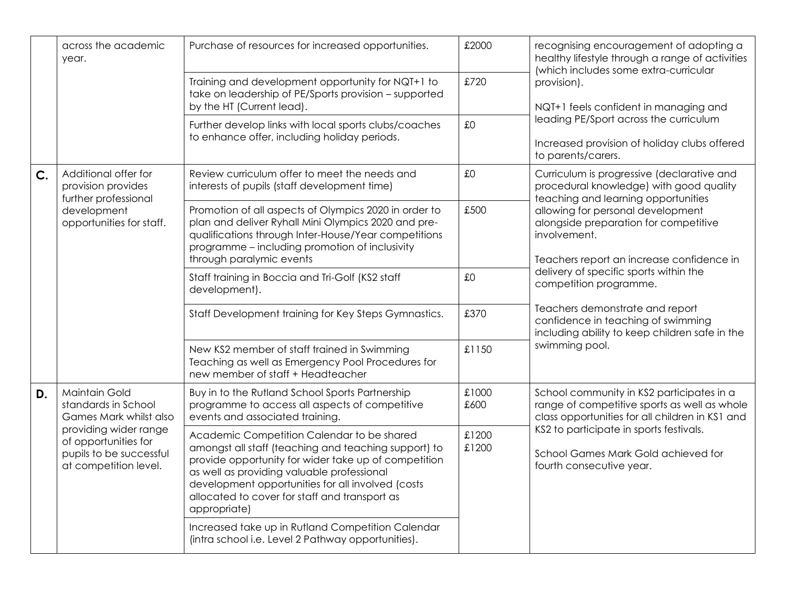|    | across the academic<br>year.                                                                                                                                               | Purchase of resources for increased opportunities.                                                                                                                                                                                                                                                                             | £2000          | recognising encouragement of adopting a<br>healthy lifestyle through a range of activities<br>(which includes some extra-curricular                                                                                                                                                                                                                                                                                                                                                      |  |
|----|----------------------------------------------------------------------------------------------------------------------------------------------------------------------------|--------------------------------------------------------------------------------------------------------------------------------------------------------------------------------------------------------------------------------------------------------------------------------------------------------------------------------|----------------|------------------------------------------------------------------------------------------------------------------------------------------------------------------------------------------------------------------------------------------------------------------------------------------------------------------------------------------------------------------------------------------------------------------------------------------------------------------------------------------|--|
|    |                                                                                                                                                                            | Training and development opportunity for NQT+1 to<br>take on leadership of PE/Sports provision - supported<br>by the HT (Current lead).                                                                                                                                                                                        | £720           | provision).<br>NQT+1 feels confident in managing and<br>leading PE/Sport across the curriculum<br>Increased provision of holiday clubs offered<br>to parents/carers.                                                                                                                                                                                                                                                                                                                     |  |
|    |                                                                                                                                                                            | Further develop links with local sports clubs/coaches<br>to enhance offer, including holiday periods.                                                                                                                                                                                                                          | £0             |                                                                                                                                                                                                                                                                                                                                                                                                                                                                                          |  |
| C. | Additional offer for<br>provision provides<br>further professional                                                                                                         | Review curriculum offer to meet the needs and<br>interests of pupils (staff development time)                                                                                                                                                                                                                                  | £0             | Curriculum is progressive (declarative and<br>procedural knowledge) with good quality<br>teaching and learning opportunities<br>allowing for personal development<br>alongside preparation for competitive<br>involvement.<br>Teachers report an increase confidence in<br>delivery of specific sports within the<br>competition programme.<br>Teachers demonstrate and report<br>confidence in teaching of swimming<br>including ability to keep children safe in the<br>swimming pool. |  |
|    | development<br>opportunities for staff.                                                                                                                                    | Promotion of all aspects of Olympics 2020 in order to<br>plan and deliver Ryhall Mini Olympics 2020 and pre-<br>qualifications through Inter-House/Year competitions<br>programme - including promotion of inclusivity<br>through paralymic events                                                                             | £500           |                                                                                                                                                                                                                                                                                                                                                                                                                                                                                          |  |
|    |                                                                                                                                                                            | Staff training in Boccia and Tri-Golf (KS2 staff<br>development).                                                                                                                                                                                                                                                              | £0             |                                                                                                                                                                                                                                                                                                                                                                                                                                                                                          |  |
|    |                                                                                                                                                                            | Staff Development training for Key Steps Gymnastics.                                                                                                                                                                                                                                                                           | £370           |                                                                                                                                                                                                                                                                                                                                                                                                                                                                                          |  |
|    |                                                                                                                                                                            | New KS2 member of staff trained in Swimming<br>Teaching as well as Emergency Pool Procedures for<br>new member of staff + Headteacher                                                                                                                                                                                          | £1150          |                                                                                                                                                                                                                                                                                                                                                                                                                                                                                          |  |
| D. | <b>Maintain Gold</b><br>standards in School<br>Games Mark whilst also<br>providing wider range<br>of opportunities for<br>pupils to be successful<br>at competition level. | Buy in to the Rutland School Sports Partnership<br>programme to access all aspects of competitive<br>events and associated training.                                                                                                                                                                                           | £1000<br>£600  | School community in KS2 participates in a<br>range of competitive sports as well as whole<br>class opportunities for all children in KS1 and                                                                                                                                                                                                                                                                                                                                             |  |
|    |                                                                                                                                                                            | Academic Competition Calendar to be shared<br>amongst all staff (teaching and teaching support) to<br>provide opportunity for wider take up of competition<br>as well as providing valuable professional<br>development opportunities for all involved (costs<br>allocated to cover for staff and transport as<br>appropriate) | £1200<br>£1200 | KS2 to participate in sports festivals.<br>School Games Mark Gold achieved for<br>fourth consecutive year.                                                                                                                                                                                                                                                                                                                                                                               |  |
|    |                                                                                                                                                                            | Increased take up in Rutland Competition Calendar<br>(intra school i.e. Level 2 Pathway opportunities).                                                                                                                                                                                                                        |                |                                                                                                                                                                                                                                                                                                                                                                                                                                                                                          |  |